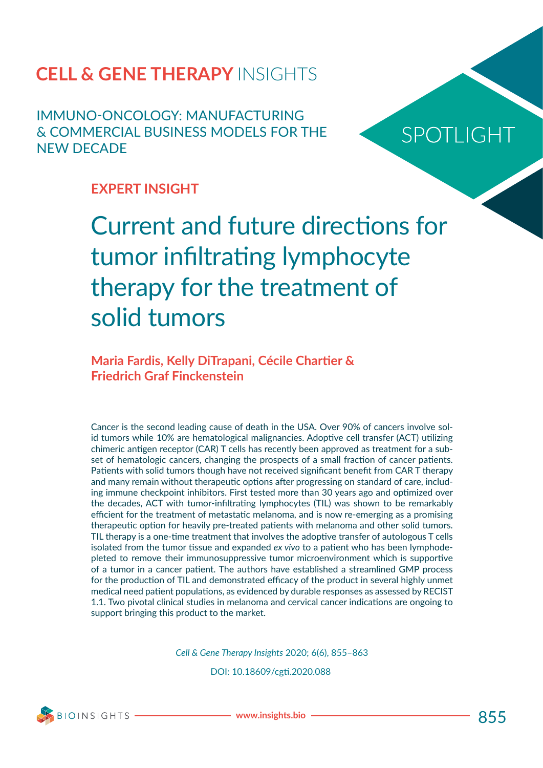IMMUNO-ONCOLOGY: MANUFACTURING & COMMERCIAL BUSINESS MODELS FOR THE NEW DECADE

# SPOTLIGHT

# **EXPERT INSIGHT**

Current and future directions for tumor infiltrating lymphocyte therapy for the treatment of solid tumors

## **Maria Fardis, Kelly DiTrapani, Cécile Chartier & Friedrich Graf Finckenstein**

Cancer is the second leading cause of death in the USA. Over 90% of cancers involve solid tumors while 10% are hematological malignancies. Adoptive cell transfer (ACT) utilizing chimeric antigen receptor (CAR) T cells has recently been approved as treatment for a subset of hematologic cancers, changing the prospects of a small fraction of cancer patients. Patients with solid tumors though have not received significant benefit from CAR T therapy and many remain without therapeutic options after progressing on standard of care, including immune checkpoint inhibitors. First tested more than 30 years ago and optimized over the decades, ACT with tumor-infiltrating lymphocytes (TIL) was shown to be remarkably efficient for the treatment of metastatic melanoma, and is now re-emerging as a promising therapeutic option for heavily pre-treated patients with melanoma and other solid tumors. TIL therapy is a one-time treatment that involves the adoptive transfer of autologous T cells isolated from the tumor tissue and expanded *ex vivo* to a patient who has been lymphodepleted to remove their immunosuppressive tumor microenvironment which is supportive of a tumor in a cancer patient. The authors have established a streamlined GMP process for the production of TIL and demonstrated efficacy of the product in several highly unmet medical need patient populations, as evidenced by durable responses as assessed by RECIST 1.1. Two pivotal clinical studies in melanoma and cervical cancer indications are ongoing to support bringing this product to the market.

*Cell & Gene Therapy Insights* 2020; 6(6), 855–863

DOI: 10.18609/cgti.2020.088



**www.insights.bio** 855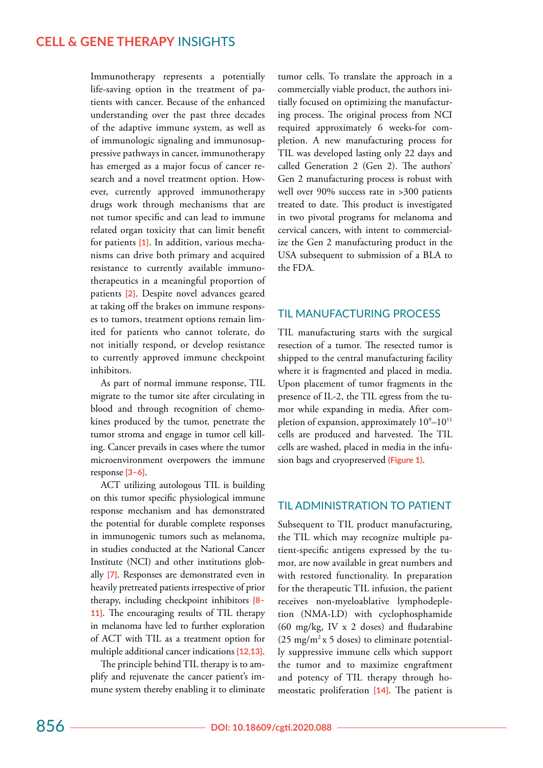Immunotherapy represents a potentially life-saving option in the treatment of patients with cancer. Because of the enhanced understanding over the past three decades of the adaptive immune system, as well as of immunologic signaling and immunosuppressive pathways in cancer, immunotherapy has emerged as a major focus of cancer research and a novel treatment option. However, currently approved immunotherapy drugs work through mechanisms that are not tumor specific and can lead to immune related organ toxicity that can limit benefit for patients **[1]**. In addition, various mechanisms can drive both primary and acquired resistance to currently available immunotherapeutics in a meaningful proportion of patients **[2]**. Despite novel advances geared at taking off the brakes on immune responses to tumors, treatment options remain limited for patients who cannot tolerate, do not initially respond, or develop resistance to currently approved immune checkpoint inhibitors.

As part of normal immune response, TIL migrate to the tumor site after circulating in blood and through recognition of chemokines produced by the tumor, penetrate the tumor stroma and engage in tumor cell killing. Cancer prevails in cases where the tumor microenvironment overpowers the immune response **[3–6]**.

ACT utilizing autologous TIL is building on this tumor specific physiological immune response mechanism and has demonstrated the potential for durable complete responses in immunogenic tumors such as melanoma, in studies conducted at the National Cancer Institute (NCI) and other institutions globally **[7]**. Responses are demonstrated even in heavily pretreated patients irrespective of prior therapy, including checkpoint inhibitors **[8– 11]**. The encouraging results of TIL therapy in melanoma have led to further exploration of ACT with TIL as a treatment option for multiple additional cancer indications **[12,13]**.

The principle behind TIL therapy is to amplify and rejuvenate the cancer patient's immune system thereby enabling it to eliminate

tumor cells. To translate the approach in a commercially viable product, the authors initially focused on optimizing the manufacturing process. The original process from NCI required approximately 6 weeks-for completion. A new manufacturing process for TIL was developed lasting only 22 days and called Generation 2 (Gen 2). The authors' Gen 2 manufacturing process is robust with well over 90% success rate in >300 patients treated to date. This product is investigated in two pivotal programs for melanoma and cervical cancers, with intent to commercialize the Gen 2 manufacturing product in the USA subsequent to submission of a BLA to the FDA.

#### TIL MANUFACTURING PROCESS

TIL manufacturing starts with the surgical resection of a tumor. The resected tumor is shipped to the central manufacturing facility where it is fragmented and placed in media. Upon placement of tumor fragments in the presence of IL-2, the TIL egress from the tumor while expanding in media. After completion of expansion, approximately  $10^9 - 10^{11}$ cells are produced and harvested. The TIL cells are washed, placed in media in the infusion bags and cryopreserved **(Figure 1)**.

#### TIL ADMINISTRATION TO PATIENT

Subsequent to TIL product manufacturing, the TIL which may recognize multiple patient-specific antigens expressed by the tumor, are now available in great numbers and with restored functionality. In preparation for the therapeutic TIL infusion, the patient receives non-myeloablative lymphodepletion (NMA-LD) with cyclophosphamide (60 mg/kg, IV x 2 doses) and fludarabine  $(25 \text{ mg/m}^2 \text{ x } 5 \text{ doses})$  to eliminate potentially suppressive immune cells which support the tumor and to maximize engraftment and potency of TIL therapy through homeostatic proliferation **[14]**. The patient is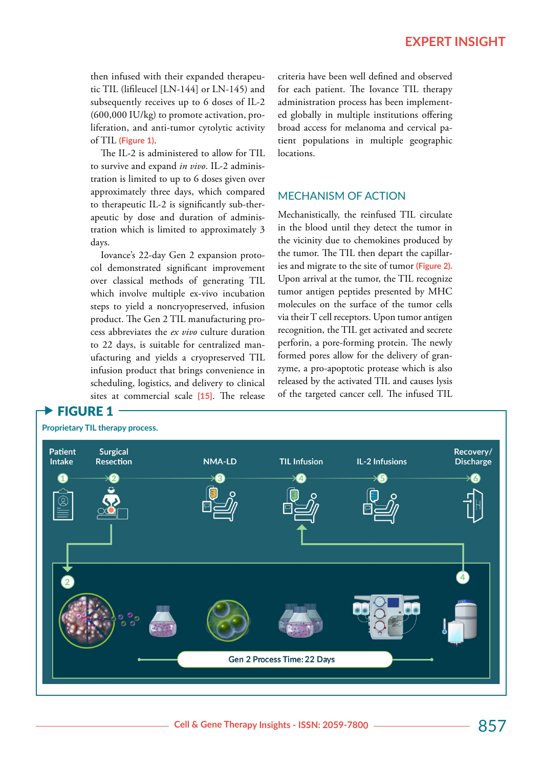then infused with their expanded therapeutic TIL (lifileucel [LN-144] or LN-145) and subsequently receives up to 6 doses of IL-2 (600,000 IU/kg) to promote activation, proliferation, and anti-tumor cytolytic activity of TIL **(Figure 1)**.

The IL-2 is administered to allow for TIL to survive and expand *in vivo*. IL-2 administration is limited to up to 6 doses given over approximately three days, which compared to therapeutic IL-2 is significantly sub-therapeutic by dose and duration of administration which is limited to approximately 3 days.

Iovance's 22-day Gen 2 expansion protocol demonstrated significant improvement over classical methods of generating TIL which involve multiple ex-vivo incubation steps to yield a noncryopreserved, infusion product. The Gen 2 TIL manufacturing process abbreviates the *ex vivo* culture duration to 22 days, is suitable for centralized manufacturing and yields a cryopreserved TIL infusion product that brings convenience in scheduling, logistics, and delivery to clinical sites at commercial scale **[15]**. The release criteria have been well defined and observed for each patient. The Iovance TIL therapy administration process has been implemented globally in multiple institutions offering broad access for melanoma and cervical patient populations in multiple geographic locations.

## MECHANISM OF ACTION

Mechanistically, the reinfused TIL circulate in the blood until they detect the tumor in the vicinity due to chemokines produced by the tumor. The TIL then depart the capillaries and migrate to the site of tumor **(Figure 2).** Upon arrival at the tumor, the TIL recognize tumor antigen peptides presented by MHC molecules on the surface of the tumor cells via their T cell receptors. Upon tumor antigen recognition, the TIL get activated and secrete perforin, a pore-forming protein. The newly formed pores allow for the delivery of granzyme, a pro-apoptotic protease which is also released by the activated TIL and causes lysis of the targeted cancer cell. The infused TIL

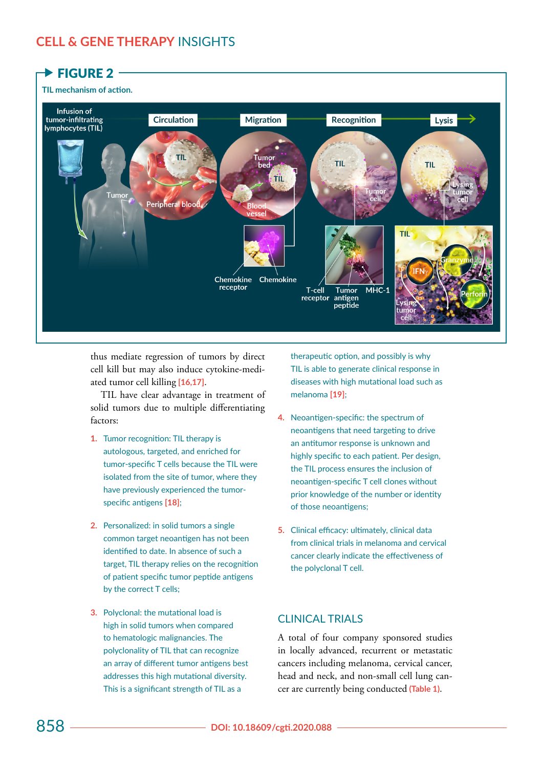

thus mediate regression of tumors by direct cell kill but may also induce cytokine-mediated tumor cell killing **[16,17]**.

TIL have clear advantage in treatment of solid tumors due to multiple differentiating factors:

- **1.** Tumor recognition: TIL therapy is autologous, targeted, and enriched for tumor-specific T cells because the TIL were isolated from the site of tumor, where they have previously experienced the tumorspecific antigens **[18]**;
- **2.** Personalized: in solid tumors a single common target neoantigen has not been identified to date. In absence of such a target, TIL therapy relies on the recognition of patient specific tumor peptide antigens by the correct T cells;
- **3.** Polyclonal: the mutational load is high in solid tumors when compared to hematologic malignancies. The polyclonality of TIL that can recognize an array of different tumor antigens best addresses this high mutational diversity. This is a significant strength of TIL as a

therapeutic option, and possibly is why TIL is able to generate clinical response in diseases with high mutational load such as melanoma **[19]**;

- **4.** Neoantigen-specific: the spectrum of neoantigens that need targeting to drive an antitumor response is unknown and highly specific to each patient. Per design, the TIL process ensures the inclusion of neoantigen-specific T cell clones without prior knowledge of the number or identity of those neoantigens;
- **5.** Clinical efficacy: ultimately, clinical data from clinical trials in melanoma and cervical cancer clearly indicate the effectiveness of the polyclonal T cell.

## CLINICAL TRIALS

A total of four company sponsored studies in locally advanced, recurrent or metastatic cancers including melanoma, cervical cancer, head and neck, and non-small cell lung cancer are currently being conducted **(Table 1)**.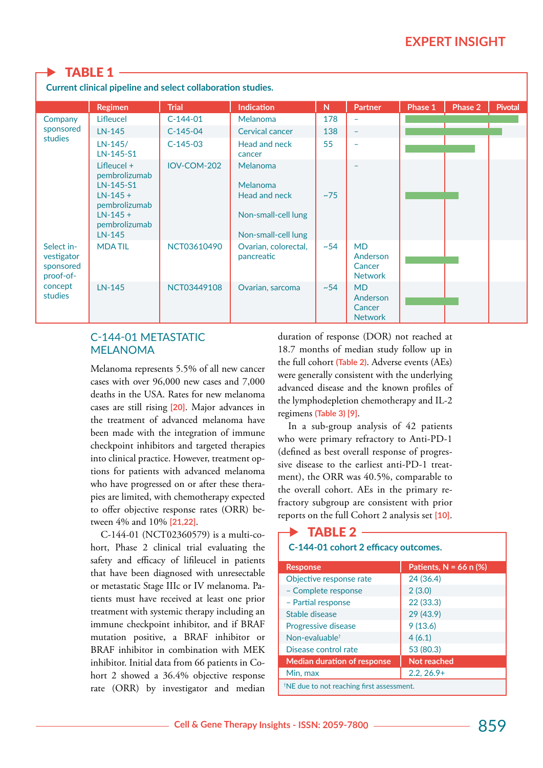## **TABLE 1**

**Current clinical pipeline and select collaboration studies.** 

|                                                                          | <b>Regimen</b>                                                                                                      | <b>Trial</b> | <b>Indication</b>                                                                                 | N         | Partner                                           | Phase 1 | Phase 2 | <b>Pivotal</b> |
|--------------------------------------------------------------------------|---------------------------------------------------------------------------------------------------------------------|--------------|---------------------------------------------------------------------------------------------------|-----------|---------------------------------------------------|---------|---------|----------------|
| Company<br>sponsored<br>studies                                          | Lifleucel                                                                                                           | $C-144-01$   | Melanoma                                                                                          | 178       | $\overline{\phantom{a}}$                          |         |         |                |
|                                                                          | $LN-145$                                                                                                            | $C-145-04$   | <b>Cervical cancer</b>                                                                            | 138       | $\equiv$                                          |         |         |                |
|                                                                          | LN-145/<br>LN-145-S1                                                                                                | $C-145-03$   | Head and neck<br>cancer                                                                           | 55        | $\overline{\phantom{a}}$                          |         |         |                |
|                                                                          | Lifleucel +<br>pembrolizumab<br>LN-145-S1<br>$LN-145 +$<br>pembrolizumab<br>$LN-145 +$<br>pembrolizumab<br>$LN-145$ | IOV-COM-202  | <b>Melanoma</b><br><b>Melanoma</b><br>Head and neck<br>Non-small-cell lung<br>Non-small-cell lung | ~175      |                                                   |         |         |                |
| Select in-<br>vestigator<br>sponsored<br>proof-of-<br>concept<br>studies | <b>MDATIL</b>                                                                                                       | NCT03610490  | Ovarian, colorectal,<br>pancreatic                                                                | $~1 - 54$ | <b>MD</b><br>Anderson<br>Cancer<br><b>Network</b> |         |         |                |
|                                                                          | LN-145                                                                                                              | NCT03449108  | Ovarian, sarcoma                                                                                  | ~1.54     | <b>MD</b><br>Anderson<br>Cancer<br><b>Network</b> |         |         |                |

### C-144-01 METASTATIC MELANOMA

Melanoma represents 5.5% of all new cancer cases with over 96,000 new cases and 7,000 deaths in the USA. Rates for new melanoma cases are still rising **[20]**. Major advances in the treatment of advanced melanoma have been made with the integration of immune checkpoint inhibitors and targeted therapies into clinical practice. However, treatment options for patients with advanced melanoma who have progressed on or after these therapies are limited, with chemotherapy expected to offer objective response rates (ORR) between 4% and 10% **[21,22]**.

C-144-01 (NCT02360579) is a multi-cohort, Phase 2 clinical trial evaluating the safety and efficacy of lifileucel in patients that have been diagnosed with unresectable or metastatic Stage IIIc or IV melanoma. Patients must have received at least one prior treatment with systemic therapy including an immune checkpoint inhibitor, and if BRAF mutation positive, a BRAF inhibitor or BRAF inhibitor in combination with MEK inhibitor. Initial data from 66 patients in Cohort 2 showed a 36.4% objective response rate (ORR) by investigator and median

duration of response (DOR) not reached at 18.7 months of median study follow up in the full cohort **(Table 2)**. Adverse events (AEs) were generally consistent with the underlying advanced disease and the known profiles of the lymphodepletion chemotherapy and IL-2 regimens **(Table 3) [9]**.

In a sub-group analysis of 42 patients who were primary refractory to Anti-PD-1 (defined as best overall response of progressive disease to the earliest anti-PD-1 treatment), the ORR was 40.5%, comparable to the overall cohort. AEs in the primary refractory subgroup are consistent with prior reports on the full Cohort 2 analysis set **[10]**.

# TABLE  $2 -$

#### **C-144-01 cohort 2 efficacy outcomes.**

| <b>Response</b>                                       | Patients, $N = 66$ n $(\%)$ |  |  |  |
|-------------------------------------------------------|-----------------------------|--|--|--|
| Objective response rate                               | 24 (36.4)                   |  |  |  |
| - Complete response                                   | 2(3.0)                      |  |  |  |
| - Partial response                                    | 22(33.3)                    |  |  |  |
| Stable disease                                        | 29 (43.9)                   |  |  |  |
| <b>Progressive disease</b>                            | 9(13.6)                     |  |  |  |
| Non-evaluable <sup>t</sup>                            | 4(6.1)                      |  |  |  |
| Disease control rate                                  | 53 (80.3)                   |  |  |  |
| <b>Median duration of response</b>                    | Not reached                 |  |  |  |
| Min, max                                              | $2.2, 26.9+$                |  |  |  |
| <sup>†</sup> NE due to not reaching first assessment. |                             |  |  |  |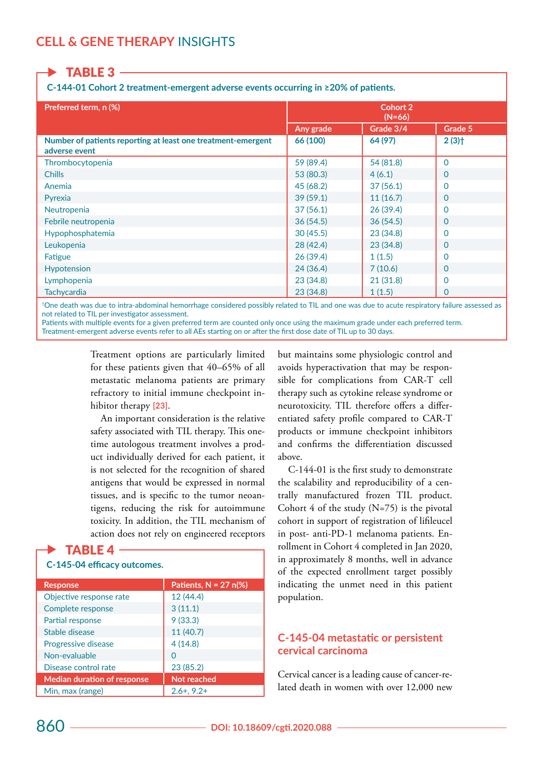TABLE 3

**C-144-01 Cohort 2 treatment-emergent adverse events occurring in ≥20% of patients.**

| Preferred term, n (%)                                                         | Cohort 2<br>$(N=66)$ |           |                     |  |
|-------------------------------------------------------------------------------|----------------------|-----------|---------------------|--|
|                                                                               | Any grade            | Grade 3/4 | Grade 5             |  |
| Number of patients reporting at least one treatment-emergent<br>adverse event | 66 (100)             | 64 (97)   | $2(3)$ <sup>+</sup> |  |
| Thrombocytopenia                                                              | 59 (89.4)            | 54 (81.8) | $\Omega$            |  |
| <b>Chills</b>                                                                 | 53 (80.3)            | 4(6.1)    | 0                   |  |
| Anemia                                                                        | 45 (68.2)            | 37(56.1)  | 0                   |  |
| Pyrexia                                                                       | 39(59.1)             | 11(16.7)  | 0                   |  |
| Neutropenia                                                                   | 37(56.1)             | 26(39.4)  | 0                   |  |
| Febrile neutropenia                                                           | 36(54.5)             | 36(54.5)  | 0                   |  |
| Hypophosphatemia                                                              | 30(45.5)             | 23 (34.8) | 0                   |  |
| Leukopenia                                                                    | 28(42.4)             | 23(34.8)  | 0                   |  |
| Fatigue                                                                       | 26(39.4)             | 1(1.5)    | 0                   |  |
| <b>Hypotension</b>                                                            | 24(36.4)             | 7(10.6)   | 0                   |  |
| Lymphopenia                                                                   | 23(34.8)             | 21(31.8)  | 0                   |  |
| <b>Tachycardia</b>                                                            | 23(34.8)             | 1(1.5)    | 0                   |  |

†One death was due to intra-abdominal hemorrhage considered possibly related to TIL and one was due to acute respiratory failure assessed as not related to TIL per investigator assessment.

Patients with multiple events for a given preferred term are counted only once using the maximum grade under each preferred term. Treatment-emergent adverse events refer to all AEs starting on or after the first dose date of TIL up to 30 days.

> Treatment options are particularly limited for these patients given that 40–65% of all metastatic melanoma patients are primary refractory to initial immune checkpoint inhibitor therapy **[23]**.

> An important consideration is the relative safety associated with TIL therapy. This onetime autologous treatment involves a product individually derived for each patient, it is not selected for the recognition of shared antigens that would be expressed in normal tissues, and is specific to the tumor neoantigens, reducing the risk for autoimmune toxicity. In addition, the TIL mechanism of action does not rely on engineered receptors

## **TABLE 4**  $\cdot$

#### **C-145-04 efficacy outcomes.**

| <b>Response</b>                    | Patients, $N = 27$ n(%) |
|------------------------------------|-------------------------|
| Objective response rate            | 12 (44.4)               |
| Complete response                  | 3(11.1)                 |
| Partial response                   | 9(33.3)                 |
| Stable disease                     | 11 (40.7)               |
| Progressive disease                | 4(14.8)                 |
| Non-evaluable                      | ∩                       |
| Disease control rate               | 23 (85.2)               |
| <b>Median duration of response</b> | Not reached             |
| Min, max (range)                   | $2.6 + 0.2 +$           |

but maintains some physiologic control and avoids hyperactivation that may be responsible for complications from CAR-T cell therapy such as cytokine release syndrome or neurotoxicity. TIL therefore offers a differentiated safety profile compared to CAR-T products or immune checkpoint inhibitors and confirms the differentiation discussed above.

C-144-01 is the first study to demonstrate the scalability and reproducibility of a centrally manufactured frozen TIL product. Cohort 4 of the study  $(N=75)$  is the pivotal cohort in support of registration of lifileucel in post- anti-PD-1 melanoma patients. Enrollment in Cohort 4 completed in Jan 2020, in approximately 8 months, well in advance of the expected enrollment target possibly indicating the unmet need in this patient population.

### **C-145-04 metastatic or persistent cervical carcinoma**

Cervical cancer is a leading cause of cancer-related death in women with over 12,000 new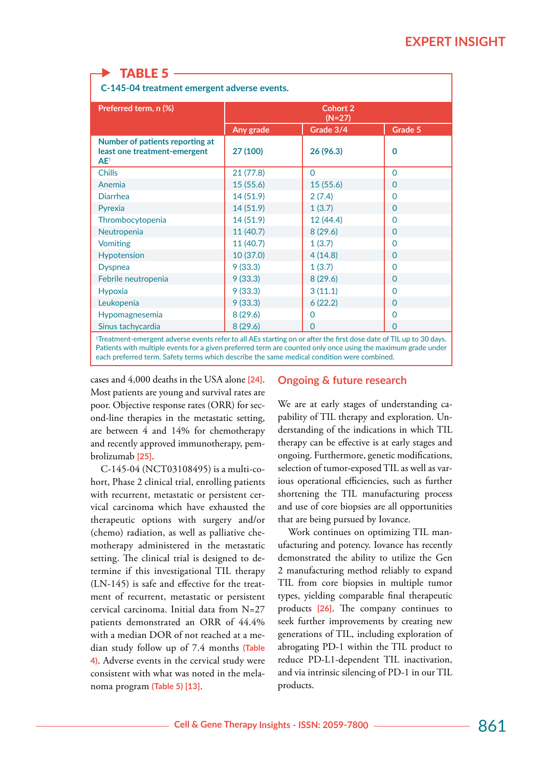## TABLE 5

**C-145-04 treatment emergent adverse events.**

| Preferred term, n (%)                                                     | Cohort 2<br>$(N=27)$ |              |          |  |
|---------------------------------------------------------------------------|----------------------|--------------|----------|--|
|                                                                           | Any grade            | Grade 3/4    | Grade 5  |  |
| Number of patients reporting at<br>least one treatment-emergent<br>$AE^+$ | 27 (100)             | 26(96.3)     | 0        |  |
| <b>Chills</b>                                                             | 21(77.8)             | $\Omega$     | 0        |  |
| Anemia                                                                    | 15(55.6)             | 15(55.6)     | 0        |  |
| <b>Diarrhea</b>                                                           | 14 (51.9)            | 2(7.4)       | 0        |  |
| Pyrexia                                                                   | 14 (51.9)            | 1(3.7)       | O        |  |
| Thrombocytopenia                                                          | 14 (51.9)            | 12(44.4)     | 0        |  |
| Neutropenia                                                               | 11 (40.7)            | 8(29.6)      | 0        |  |
| <b>Vomiting</b>                                                           | 11 (40.7)            | 1(3.7)       | 0        |  |
| <b>Hypotension</b>                                                        | 10 (37.0)            | 4(14.8)      | 0        |  |
| <b>Dyspnea</b>                                                            | 9(33.3)              | 1(3.7)       | 0        |  |
| Febrile neutropenia                                                       | 9(33.3)              | 8(29.6)      | $\Omega$ |  |
| Hypoxia                                                                   | 9(33.3)              | 3(11.1)      | 0        |  |
| Leukopenia                                                                | 9(33.3)              | 6(22.2)      | 0        |  |
| Hypomagnesemia                                                            | 8(29.6)              | 0            | 0        |  |
| Sinus tachycardia                                                         | 8(29.6)              | $\mathbf{0}$ | 0        |  |

†Treatment-emergent adverse events refer to all AEs starting on or after the first dose date of TIL up to 30 days. Patients with multiple events for a given preferred term are counted only once using the maximum grade under each preferred term. Safety terms which describe the same medical condition were combined.

cases and 4,000 deaths in the USA alone **[24]**. Most patients are young and survival rates are poor. Objective response rates (ORR) for second-line therapies in the metastatic setting, are between 4 and 14% for chemotherapy and recently approved immunotherapy, pembrolizumab **[25]**.

C-145-04 (NCT03108495) is a multi-cohort, Phase 2 clinical trial, enrolling patients with recurrent, metastatic or persistent cervical carcinoma which have exhausted the therapeutic options with surgery and/or (chemo) radiation, as well as palliative chemotherapy administered in the metastatic setting. The clinical trial is designed to determine if this investigational TIL therapy (LN-145) is safe and effective for the treatment of recurrent, metastatic or persistent cervical carcinoma. Initial data from N=27 patients demonstrated an ORR of 44.4% with a median DOR of not reached at a median study follow up of 7.4 months **(Table 4)**. Adverse events in the cervical study were consistent with what was noted in the melanoma program **(Table 5) [13]**.

#### **Ongoing & future research**

We are at early stages of understanding capability of TIL therapy and exploration. Understanding of the indications in which TIL therapy can be effective is at early stages and ongoing. Furthermore, genetic modifications, selection of tumor-exposed TIL as well as various operational efficiencies, such as further shortening the TIL manufacturing process and use of core biopsies are all opportunities that are being pursued by Iovance.

Work continues on optimizing TIL manufacturing and potency. Iovance has recently demonstrated the ability to utilize the Gen 2 manufacturing method reliably to expand TIL from core biopsies in multiple tumor types, yielding comparable final therapeutic products **[26]**. The company continues to seek further improvements by creating new generations of TIL, including exploration of abrogating PD-1 within the TIL product to reduce PD-L1-dependent TIL inactivation, and via intrinsic silencing of PD-1 in our TIL products.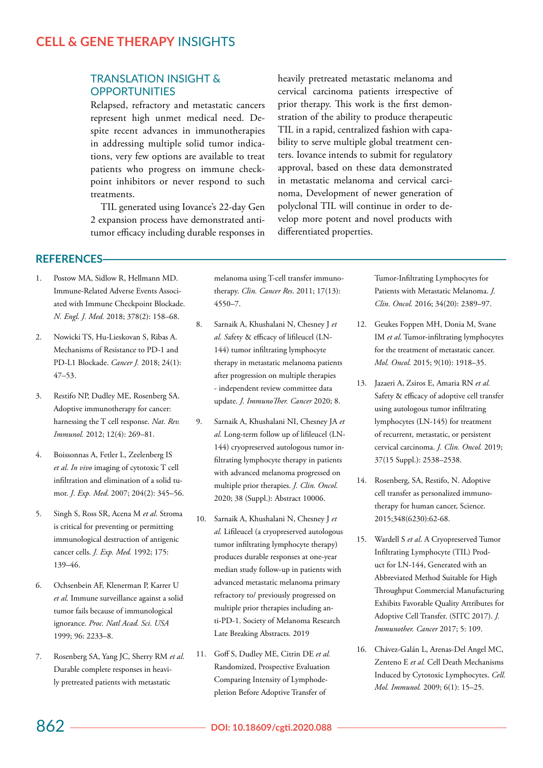#### TRANSLATION INSIGHT & **OPPORTUNITIES**

Relapsed, refractory and metastatic cancers represent high unmet medical need. Despite recent advances in immunotherapies in addressing multiple solid tumor indications, very few options are available to treat patients who progress on immune checkpoint inhibitors or never respond to such treatments.

TIL generated using Iovance's 22-day Gen 2 expansion process have demonstrated antitumor efficacy including durable responses in heavily pretreated metastatic melanoma and cervical carcinoma patients irrespective of prior therapy. This work is the first demonstration of the ability to produce therapeutic TIL in a rapid, centralized fashion with capability to serve multiple global treatment centers. Iovance intends to submit for regulatory approval, based on these data demonstrated in metastatic melanoma and cervical carcinoma, Development of newer generation of polyclonal TIL will continue in order to develop more potent and novel products with differentiated properties.

## **REFERENCES**

- 1. Postow MA, Sidlow R, Hellmann MD. Immune-Related Adverse Events Associated with Immune Checkpoint Blockade. *N. Engl. J. Med.* 2018; 378(2): 158–68.
- 2. Nowicki TS, Hu-Lieskovan S, Ribas A. Mechanisms of Resistance to PD-1 and PD-L1 Blockade. *Cancer J.* 2018; 24(1): 47–53.
- 3. Restifo NP, Dudley ME, Rosenberg SA. Adoptive immunotherapy for cancer: harnessing the T cell response. *Nat. Rev. Immunol.* 2012; 12(4): 269–81.
- 4. Boissonnas A, Fetler L, Zeelenberg IS *et al*. *In vivo* imaging of cytotoxic T cell infiltration and elimination of a solid tumor. *J. Exp. Med*. 2007; 204(2): 345–56.
- 5. Singh S, Ross SR, Acena M *et al*. Stroma is critical for preventing or permitting immunological destruction of antigenic cancer cells. *J. Exp. Med.* 1992; 175: 139–46.
- 6. Ochsenbein AF, Klenerman P, Karrer U *et al.* Immune surveillance against a solid tumor fails because of immunological ignorance. *Proc. Natl Acad. Sci. USA* 1999; 96: 2233–8.
- 7. Rosenberg SA, Yang JC, Sherry RM *et al*. Durable complete responses in heavily pretreated patients with metastatic

melanoma using T-cell transfer immunotherapy. *Clin. Cancer Res*. 2011; 17(13): 4550–7.

- 8. Sarnaik A, Khushalani N, Chesney J *et al. S*afety & efficacy of lifileucel (LN-144) tumor infiltrating lymphocyte therapy in metastatic melanoma patients after progression on multiple therapies - independent review committee data update. *J. ImmunoTher. Cancer* 2020; 8.
- 9. Sarnaik A, Khushalani NI, Chesney JA *et al.* Long-term follow up of lifileucel (LN-144) cryopreserved autologous tumor infiltrating lymphocyte therapy in patients with advanced melanoma progressed on multiple prior therapies. *J. Clin. Oncol*. 2020; 38 (Suppl.): Abstract 10006.
- 10. Sarnaik A, Khushalani N, Chesney J *et al.* Lifileucel (a cryopreserved autologous tumor infiltrating lymphocyte therapy) produces durable responses at one-year median study follow-up in patients with advanced metastatic melanoma primary refractory to/ previously progressed on multiple prior therapies including anti-PD-1. Society of Melanoma Research Late Breaking Abstracts. 2019
- 11. Goff S, Dudley ME, Citrin DE *et al.* Randomized, Prospective Evaluation Comparing Intensity of Lymphodepletion Before Adoptive Transfer of

Tumor-Infiltrating Lymphocytes for Patients with Metastatic Melanoma. *J. Clin. Oncol.* 2016; 34(20): 2389–97.

- 12. Geukes Foppen MH, Donia M, Svane IM *et al*. Tumor-infiltrating lymphocytes for the treatment of metastatic cancer. *Mol. Oncol.* 2015; 9(10): 1918–35.
- 13. Jazaeri A, Zsiros E, Amaria RN *et al.* Safety & efficacy of adoptive cell transfer using autologous tumor infiltrating lymphocytes (LN-145) for treatment of recurrent, metastatic, or persistent cervical carcinoma. *J. Clin. Oncol.* 2019; 37(15 Suppl.): 2538–2538.
- 14. Rosenberg, SA, Restifo, N. Adoptive cell transfer as personalized immunotherapy for human cancer, Science. 2015;348(6230):62-68.
- 15. Wardell S *et al*. A Cryopreserved Tumor Infiltrating Lymphocyte (TIL) Product for LN-144, Generated with an Abbreviated Method Suitable for High Throughput Commercial Manufacturing Exhibits Favorable Quality Attributes for Adoptive Cell Transfer. (SITC 2017). *J. Immunother. Cancer* 2017; 5: 109.
- 16. Chávez-Galán L, Arenas-Del Angel MC, Zenteno E *et al.* Cell Death Mechanisms Induced by Cytotoxic Lymphocytes. *Cell. Mol. Immunol.* 2009; 6(1): 15–25.